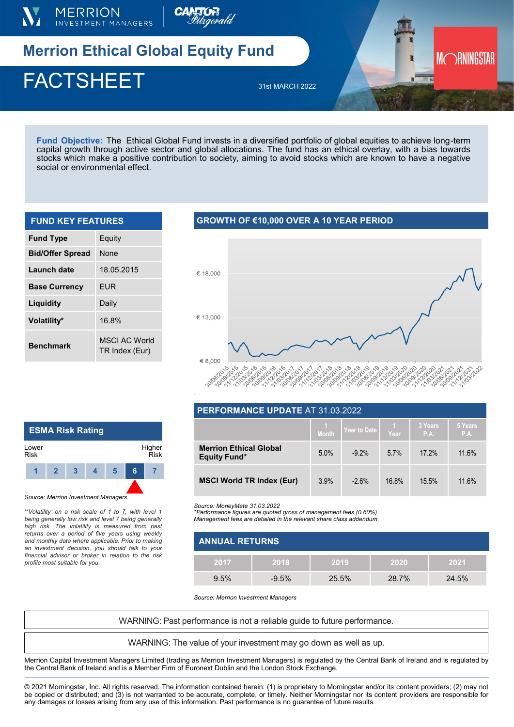



# **Merrion Ethical Global Equity Fund**

## $\blacksquare$ FACTSHEET  $\blacksquare$ FACTSHEET 31st MARCH 2022

**Fund Objective:** The Ethical Global Fund invests in a diversified portfolio of global equities to achieve long-term capital growth through active sector and global allocations. The fund has an ethical overlay, with a bias towards stocks which make a positive contribution to society, aiming to avoid stocks which are known to have a negative social or environmental effect.

#### **FUND KEY FEATURES**

| <b>Fund Type</b>        | Equity                                |
|-------------------------|---------------------------------------|
| <b>Bid/Offer Spread</b> | <b>None</b>                           |
| Launch date             | 18.05.2015                            |
| <b>Base Currency</b>    | FUR                                   |
| Liquidity               | Daily                                 |
| Volatility*             | 16.8%                                 |
| <b>Benchmark</b>        | <b>MSCLAC World</b><br>TR Index (Eur) |

#### **GROWTH OF €10,000 OVER A 10 YEAR PERIOD**



MORNINGSTAR

### **ESMA Risk Rating**  Lower Risk Higher Risk **1 2 3 4 5 6 7**

*Source: Merrion Investment Managers*

\*'*Volatility' on a risk scale of 1 to 7, with level 1 being generally low risk and level 7 being generally high risk. The volatility is measured from past returns over a period of five years using weekly and monthly data where applicable. Prior to making an investment decision, you should talk to your financial advisor or broker in relation to the risk profile most suitable for you.* 

| PERFORMANCE UPDATE AT 31.03.2022                     |       |              |       |                 |                 |  |  |  |
|------------------------------------------------------|-------|--------------|-------|-----------------|-----------------|--|--|--|
|                                                      | Month | Year to Date | Year  | 3 Years<br>P.A. | 5 Years<br>P.A. |  |  |  |
| <b>Merrion Ethical Global</b><br><b>Equity Fund*</b> | 5.0%  | $-9.2\%$     | 5.7%  | 17.2%           | 11.6%           |  |  |  |
| <b>MSCI World TR Index (Eur)</b>                     | 3.9%  | $-2.6%$      | 16.8% | 15.5%           | 11.6%           |  |  |  |

*Source: MoneyMate 31.03.2022*

*\*Performance figures are quoted gross of management fees (0.60%) Management fees are detailed in the relevant share class addendum.* 

|                       | <u>Management rees are getalled in the relevant share class addendum.</u> |         |       |       |       |  |  |  |
|-----------------------|---------------------------------------------------------------------------|---------|-------|-------|-------|--|--|--|
| <b>ANNUAL RETURNS</b> |                                                                           |         |       |       |       |  |  |  |
|                       | 2017                                                                      | 2018    | 2019  | 2020  | 2021  |  |  |  |
|                       | 9.5%                                                                      | $-9.5%$ | 25.5% | 28.7% | 24.5% |  |  |  |

*Source: Merrion Investment Managers*

WARNING: Past performance is not a reliable guide to future performance.

WARNING: The value of your investment may go down as well as up.

Merrion Capital Investment Managers Limited (trading as Merrion Investment Managers) is regulated by the Central Bank of Ireland and is regulated by the Central Bank of Ireland and is a Member Firm of Euronext Dublin and the London Stock Exchange.

© 2021 Morningstar, Inc. All rights reserved. The information contained herein: (1) is proprietary to Morningstar and/or its content providers; (2) may not be copied or distributed; and (3) is not warranted to be accurate, complete, or timely. Neither Morningstar nor its content providers are responsible for any damages or losses arising from any use of this information. Past performance is no guarantee of future results.